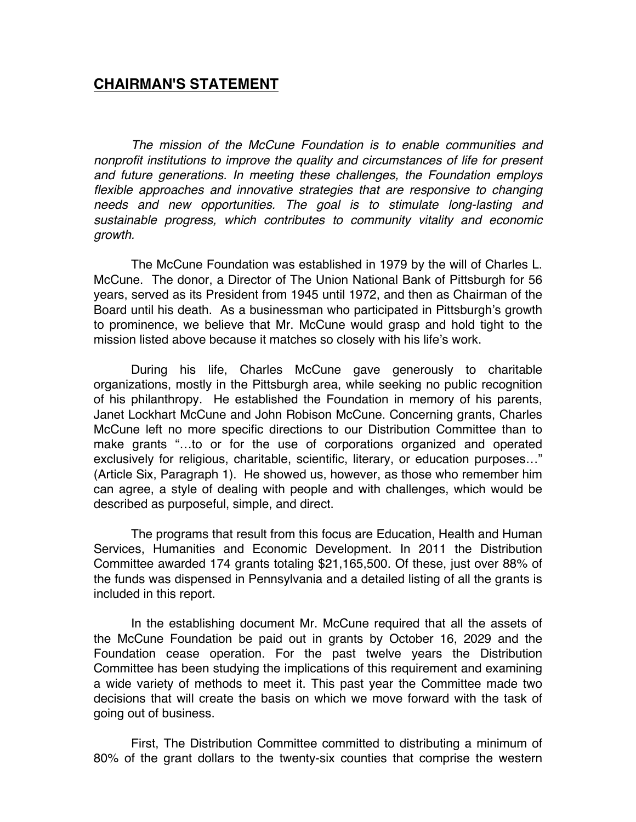## **CHAIRMAN'S STATEMENT**

*The mission of the McCune Foundation is to enable communities and nonprofit institutions to improve the quality and circumstances of life for present and future generations. In meeting these challenges, the Foundation employs flexible approaches and innovative strategies that are responsive to changing needs and new opportunities. The goal is to stimulate long-lasting and sustainable progress, which contributes to community vitality and economic growth.*

The McCune Foundation was established in 1979 by the will of Charles L. McCune. The donor, a Director of The Union National Bank of Pittsburgh for 56 years, served as its President from 1945 until 1972, and then as Chairman of the Board until his death. As a businessman who participated in Pittsburgh's growth to prominence, we believe that Mr. McCune would grasp and hold tight to the mission listed above because it matches so closely with his life's work.

During his life, Charles McCune gave generously to charitable organizations, mostly in the Pittsburgh area, while seeking no public recognition of his philanthropy. He established the Foundation in memory of his parents, Janet Lockhart McCune and John Robison McCune. Concerning grants, Charles McCune left no more specific directions to our Distribution Committee than to make grants "…to or for the use of corporations organized and operated exclusively for religious, charitable, scientific, literary, or education purposes…" (Article Six, Paragraph 1). He showed us, however, as those who remember him can agree, a style of dealing with people and with challenges, which would be described as purposeful, simple, and direct.

The programs that result from this focus are Education, Health and Human Services, Humanities and Economic Development. In 2011 the Distribution Committee awarded 174 grants totaling \$21,165,500. Of these, just over 88% of the funds was dispensed in Pennsylvania and a detailed listing of all the grants is included in this report.

In the establishing document Mr. McCune required that all the assets of the McCune Foundation be paid out in grants by October 16, 2029 and the Foundation cease operation. For the past twelve years the Distribution Committee has been studying the implications of this requirement and examining a wide variety of methods to meet it. This past year the Committee made two decisions that will create the basis on which we move forward with the task of going out of business.

First, The Distribution Committee committed to distributing a minimum of 80% of the grant dollars to the twenty-six counties that comprise the western